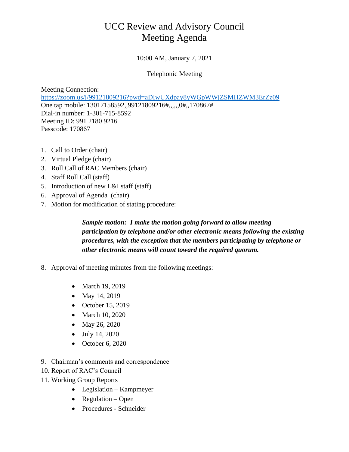## UCC Review and Advisory Council Meeting Agenda

10:00 AM, January 7, 2021

Telephonic Meeting

Meeting Connection: [https://zoom.us/j/99121809216?pwd=aDIwUXdpay8yWGpWWjZSMHZWM3ErZz09](https://gcc01.safelinks.protection.outlook.com/?url=https%3A%2F%2Fzoom.us%2Fj%2F99121809216%3Fpwd%3DaDIwUXdpay8yWGpWWjZSMHZWM3ErZz09&data=04%7C01%7Ckrgardner%40pa.gov%7Ce1e04432a29b484ba6b508d87a98d9ee%7C418e284101284dd59b6c47fc5a9a1bde%7C0%7C0%7C637394144947726506%7CUnknown%7CTWFpbGZsb3d8eyJWIjoiMC4wLjAwMDAiLCJQIjoiV2luMzIiLCJBTiI6Ik1haWwiLCJXVCI6Mn0%3D%7C0&sdata=xwNC7Fs5XizRLVccy06tAjyY4SRQ7zaIJjDhyQzE0LA%3D&reserved=0) One tap mobile: 13017158592,,99121809216#,,,,,,0#,,170867# Dial-in number: 1-301-715-8592 Meeting ID: 991 2180 9216 Passcode: 170867

- 1. Call to Order (chair)
- 2. Virtual Pledge (chair)
- 3. Roll Call of RAC Members (chair)
- 4. Staff Roll Call (staff)
- 5. Introduction of new L&I staff (staff)
- 6. Approval of Agenda (chair)
- 7. Motion for modification of stating procedure:

*Sample motion: I make the motion going forward to allow meeting participation by telephone and/or other electronic means following the existing procedures, with the exception that the members participating by telephone or other electronic means will count toward the required quorum.*

- 8. Approval of meeting minutes from the following meetings:
	- March 19, 2019
	- May 14, 2019
	- $\bullet$  October 15, 2019
	- March 10, 2020
	- May 26, 2020
	- July 14, 2020
	- $\bullet$  October 6, 2020
- 9. Chairman's comments and correspondence
- 10. Report of RAC's Council
- 11. Working Group Reports
	- Legislation Kampmeyer
	- $\bullet$  Regulation Open
	- Procedures Schneider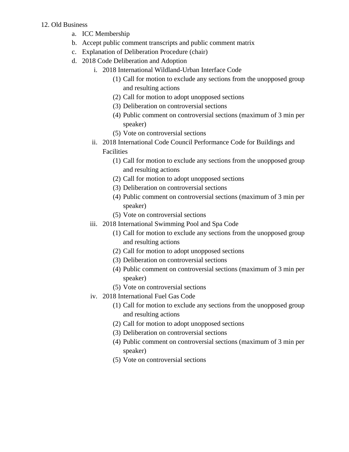## 12. Old Business

- a. ICC Membership
- b. Accept public comment transcripts and public comment matrix
- c. Explanation of Deliberation Procedure (chair)
- d. 2018 Code Deliberation and Adoption
	- i. 2018 International Wildland-Urban Interface Code
		- (1) Call for motion to exclude any sections from the unopposed group and resulting actions
		- (2) Call for motion to adopt unopposed sections
		- (3) Deliberation on controversial sections
		- (4) Public comment on controversial sections (maximum of 3 min per speaker)
		- (5) Vote on controversial sections
	- ii. 2018 International Code Council Performance Code for Buildings and Facilities
		- (1) Call for motion to exclude any sections from the unopposed group and resulting actions
		- (2) Call for motion to adopt unopposed sections
		- (3) Deliberation on controversial sections
		- (4) Public comment on controversial sections (maximum of 3 min per speaker)
		- (5) Vote on controversial sections
	- iii. 2018 International Swimming Pool and Spa Code
		- (1) Call for motion to exclude any sections from the unopposed group and resulting actions
		- (2) Call for motion to adopt unopposed sections
		- (3) Deliberation on controversial sections
		- (4) Public comment on controversial sections (maximum of 3 min per speaker)
		- (5) Vote on controversial sections
	- iv. 2018 International Fuel Gas Code
		- (1) Call for motion to exclude any sections from the unopposed group and resulting actions
		- (2) Call for motion to adopt unopposed sections
		- (3) Deliberation on controversial sections
		- (4) Public comment on controversial sections (maximum of 3 min per speaker)
		- (5) Vote on controversial sections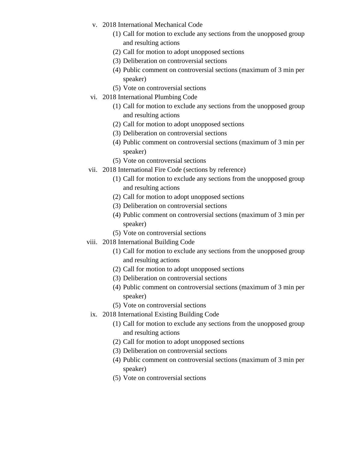- v. 2018 International Mechanical Code
	- (1) Call for motion to exclude any sections from the unopposed group and resulting actions
	- (2) Call for motion to adopt unopposed sections
	- (3) Deliberation on controversial sections
	- (4) Public comment on controversial sections (maximum of 3 min per speaker)
	- (5) Vote on controversial sections
- vi. 2018 International Plumbing Code
	- (1) Call for motion to exclude any sections from the unopposed group and resulting actions
	- (2) Call for motion to adopt unopposed sections
	- (3) Deliberation on controversial sections
	- (4) Public comment on controversial sections (maximum of 3 min per speaker)
	- (5) Vote on controversial sections
- vii. 2018 International Fire Code (sections by reference)
	- (1) Call for motion to exclude any sections from the unopposed group and resulting actions
	- (2) Call for motion to adopt unopposed sections
	- (3) Deliberation on controversial sections
	- (4) Public comment on controversial sections (maximum of 3 min per speaker)
	- (5) Vote on controversial sections
- viii. 2018 International Building Code
	- (1) Call for motion to exclude any sections from the unopposed group and resulting actions
	- (2) Call for motion to adopt unopposed sections
	- (3) Deliberation on controversial sections
	- (4) Public comment on controversial sections (maximum of 3 min per speaker)
	- (5) Vote on controversial sections
- ix. 2018 International Existing Building Code
	- (1) Call for motion to exclude any sections from the unopposed group and resulting actions
	- (2) Call for motion to adopt unopposed sections
	- (3) Deliberation on controversial sections
	- (4) Public comment on controversial sections (maximum of 3 min per speaker)
	- (5) Vote on controversial sections